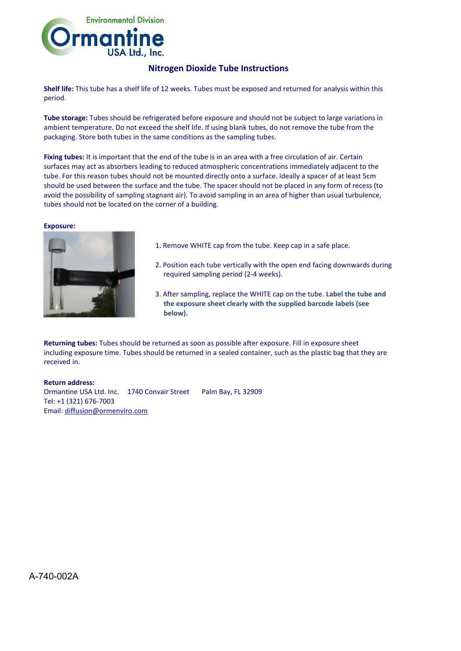

## **Nitrogen Dioxide Tube Instructions**

**Shelf life:** This tube has a shelf life of 12 weeks. Tubes must be exposed and returned for analysis within this period.

**Tube storage:** Tubes should be refrigerated before exposure and should not be subject to large variations in ambient temperature. Do not exceed the shelf life. If using blank tubes, do not remove the tube from the packaging. Store both tubes in the same conditions as the sampling tubes.

**Fixing tubes:** It is important that the end of the tube is in an area with a free circulation of air. Certain surfaces may act as absorbers leading to reduced atmospheric concentrations immediately adjacent to the tube. For this reason tubes should not be mounted directly onto a surface. Ideally a spacer of at least 5cm should be used between the surface and the tube. The spacer should not be placed in any form of recess (to avoid the possibility of sampling stagnant air). To avoid sampling in an area of higher than usual turbulence, tubes should not be located on the corner of a building.

## **Exposure:**



- 1. Remove WHITE cap from the tube. Keep cap in a safe place.
- 2. Position each tube vertically with the open end facing downwards during required sampling period (2-4 weeks).
- 3. After sampling, replace the WHITE cap on the tube. **Label the tube and the exposure sheet clearly with the supplied barcode labels (see below).**

**Returning tubes:** Tubes should be returned as soon as possible after exposure. Fill in exposure sheet including exposure time. Tubes should be returned in a sealed container, such as the plastic bag that they are received in.

**Return address:** Ormantine USA Ltd. Inc. 1740 Convair Street Palm Bay, FL 32909 Tel: +1 (321) 676-7003 Email: [diffusion@ormenviro.com](mailto:diffusion@ormenviro.com)